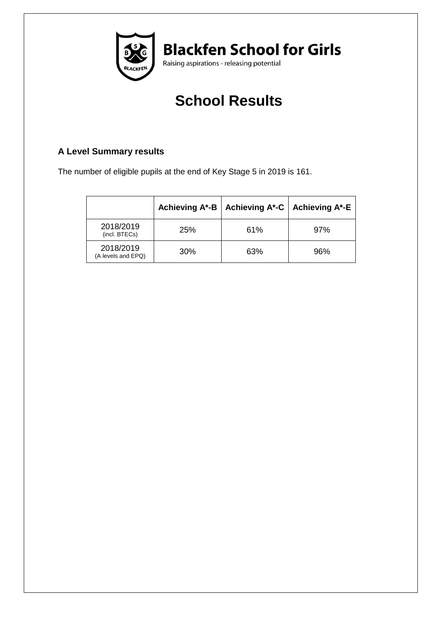

# **School Results**

### **A Level Summary results**

The number of eligible pupils at the end of Key Stage 5 in 2019 is 161.

|                                 | Achieving A*-B | Achieving A*-C   Achieving A*-E |     |  |  |
|---------------------------------|----------------|---------------------------------|-----|--|--|
| 2018/2019<br>(incl. BTECs)      | 25%            | 61%                             | 97% |  |  |
| 2018/2019<br>(A levels and EPQ) | 30%            | 63%                             | 96% |  |  |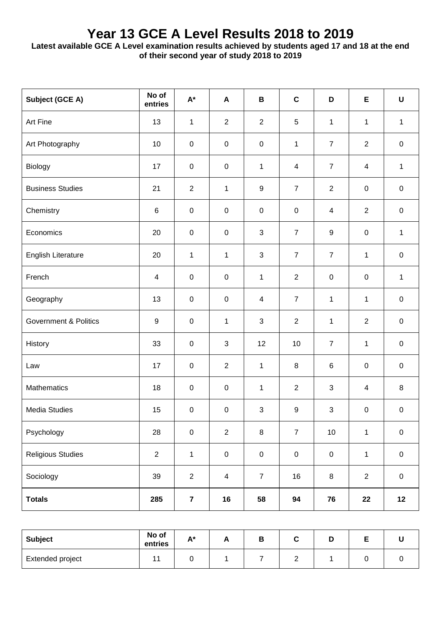## **Year 13 GCE A Level Results 2018 to 2019**

**Latest available GCE A Level examination results achieved by students aged 17 and 18 at the end of their second year of study 2018 to 2019**

| Subject (GCE A)                  | No of<br>entries         | $\mathsf{A}^\star$      | A                       | В              | $\mathbf c$    | D                | Е              | $\mathsf U$  |
|----------------------------------|--------------------------|-------------------------|-------------------------|----------------|----------------|------------------|----------------|--------------|
| Art Fine                         | 13                       | $\mathbf{1}$            | $\overline{2}$          | $\overline{2}$ | 5              | 1                | 1              | 1            |
| Art Photography                  | 10                       | $\boldsymbol{0}$        | $\pmb{0}$               | $\pmb{0}$      | $\mathbf{1}$   | $\overline{7}$   | $\mathbf{2}$   | $\pmb{0}$    |
| Biology                          | 17                       | $\mathbf 0$             | $\mathsf 0$             | $\mathbf{1}$   | 4              | $\overline{7}$   | $\overline{4}$ | $\mathbf{1}$ |
| <b>Business Studies</b>          | 21                       | $\overline{2}$          | 1                       | 9              | $\overline{7}$ | 2                | $\mathsf 0$    | $\pmb{0}$    |
| Chemistry                        | $\,6$                    | $\mathbf 0$             | $\mathsf 0$             | $\pmb{0}$      | $\mathbf 0$    | 4                | $\overline{2}$ | $\pmb{0}$    |
| Economics                        | 20                       | $\mathbf 0$             | $\pmb{0}$               | 3              | $\overline{7}$ | $\boldsymbol{9}$ | $\mathbf 0$    | $\mathbf{1}$ |
| <b>English Literature</b>        | 20                       | $\mathbf{1}$            | 1                       | 3              | $\overline{7}$ | $\overline{7}$   | 1              | $\pmb{0}$    |
| French                           | $\overline{\mathcal{A}}$ | $\mathbf 0$             | $\pmb{0}$               | $\mathbf{1}$   | $\overline{2}$ | $\pmb{0}$        | $\mathbf 0$    | $\mathbf{1}$ |
| Geography                        | 13                       | $\mathbf 0$             | $\mathsf 0$             | $\overline{4}$ | $\overline{7}$ | 1                | 1              | $\pmb{0}$    |
| <b>Government &amp; Politics</b> | 9                        | $\mathbf 0$             | 1                       | 3              | $\overline{2}$ | 1                | 2              | $\pmb{0}$    |
| History                          | 33                       | $\mathbf 0$             | 3                       | 12             | 10             | $\overline{7}$   | $\mathbf 1$    | $\pmb{0}$    |
| Law                              | 17                       | $\mathbf 0$             | $\overline{2}$          | $\mathbf{1}$   | 8              | $\,6$            | $\mathsf 0$    | $\pmb{0}$    |
| Mathematics                      | 18                       | $\mathbf 0$             | $\mathsf 0$             | $\mathbf{1}$   | $\overline{2}$ | 3                | $\overline{4}$ | 8            |
| <b>Media Studies</b>             | 15                       | $\mathbf 0$             | $\pmb{0}$               | 3              | $9\,$          | 3                | $\mathsf 0$    | $\pmb{0}$    |
| Psychology                       | 28                       | $\pmb{0}$               | $\overline{2}$          | $\bf 8$        | $\overline{7}$ | 10               | $\mathbf 1$    | $\pmb{0}$    |
| <b>Religious Studies</b>         | $\mathbf{2}$             | $\mathbf{1}$            | $\pmb{0}$               | $\pmb{0}$      | $\pmb{0}$      | $\mathbf 0$      | $\mathbf{1}$   | $\pmb{0}$    |
| Sociology                        | 39                       | $\overline{2}$          | $\overline{\mathbf{4}}$ | $\overline{7}$ | $16\,$         | $\,8\,$          | $\overline{2}$ | $\mathbf 0$  |
| <b>Totals</b>                    | 285                      | $\overline{\mathbf{7}}$ | 16                      | 58             | 94             | 76               | 22             | 12           |

| <b>Subject</b>   | No of<br>entries | $A*$<br>́ | Γ, |  | ш | - |  |
|------------------|------------------|-----------|----|--|---|---|--|
| Extended project |                  |           |    |  |   |   |  |